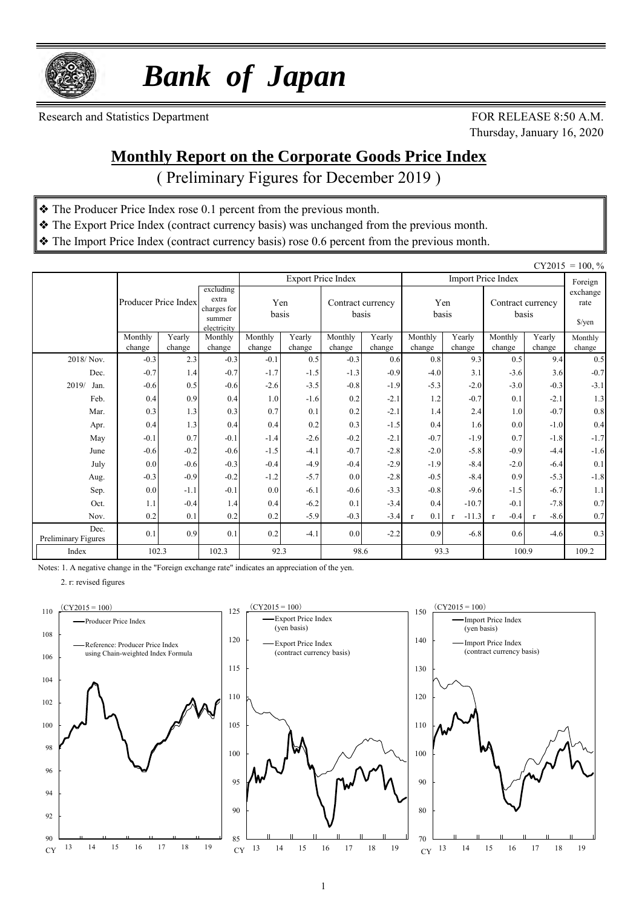

 *Bank of Japan*

Research and Statistics Department FOR RELEASE 8:50 A.M.

Thursday, January 16, 2020

### **Monthly Report on the Corporate Goods Price Index**

( Preliminary Figures for December 2019 )

- ❖ The Producer Price Index rose 0.1 percent from the previous month.
- ❖ The Export Price Index (contract currency basis) was unchanged from the previous month.
- ❖ The Import Price Index (contract currency basis) rose 0.6 percent from the previous month.

|                             |                      |               |                                                            |                  |               |                            |               |                     |               |                            |                                     | $CY2015 = 100, %$ |
|-----------------------------|----------------------|---------------|------------------------------------------------------------|------------------|---------------|----------------------------|---------------|---------------------|---------------|----------------------------|-------------------------------------|-------------------|
|                             |                      |               |                                                            |                  |               | <b>Export Price Index</b>  |               |                     | Foreign       |                            |                                     |                   |
|                             | Producer Price Index |               | excluding<br>extra<br>charges for<br>summer<br>electricity | Yen<br>basis     |               | Contract currency<br>basis |               | Yen<br>basis        |               | Contract currency<br>basis | exchange<br>rate<br>$\sqrt{\gamma}$ |                   |
|                             | Monthly              | Yearly        | Monthly                                                    | Monthly          | Yearly        | Monthly                    | Yearly        | Monthly<br>Yearly   |               | Monthly                    | Yearly                              | Monthly           |
| 2018/Nov.                   | change<br>$-0.3$     | change<br>2.3 | change<br>$-0.3$                                           | change<br>$-0.1$ | change<br>0.5 | change<br>$-0.3$           | change<br>0.6 | change<br>0.8       | change<br>9.3 | change<br>0.5              | change<br>9.4                       | change<br>0.5     |
| Dec.                        | $-0.7$               | 1.4           | $-0.7$                                                     | $-1.7$           | $-1.5$        | $-1.3$                     | $-0.9$        | $-4.0$              | 3.1           | $-3.6$                     | 3.6                                 | $-0.7$            |
| 2019/<br>Jan.               | $-0.6$               | 0.5           | $-0.6$                                                     | $-2.6$           | $-3.5$        | $-0.8$                     | $-1.9$        | $-5.3$              | $-2.0$        | $-3.0$                     | $-0.3$                              | $-3.1$            |
| Feb.                        | 0.4                  | 0.9           | 0.4                                                        | 1.0              | $-1.6$        | 0.2                        | $-2.1$        | 1.2                 | $-0.7$        | 0.1                        | $-2.1$                              | 1.3               |
| Mar.                        | 0.3                  | 1.3           | 0.3                                                        | 0.7              | 0.1           | 0.2                        | $-2.1$        | 1.4                 | 2.4           | 1.0                        | $-0.7$                              | $0.8\,$           |
| Apr.                        | 0.4                  | 1.3           | 0.4                                                        | 0.4              | 0.2           | 0.3                        | $-1.5$        | 0.4                 | 1.6           | 0.0                        | $-1.0$                              | 0.4               |
| May                         | $-0.1$               | 0.7           | $-0.1$                                                     | $-1.4$           | $-2.6$        | $-0.2$                     | $-2.1$        | $-0.7$              | $-1.9$        | 0.7                        | $-1.8$                              | $-1.7$            |
| June                        | $-0.6$               | $-0.2$        | $-0.6$                                                     | $-1.5$           | $-4.1$        | $-0.7$                     | $-2.8$        | $-2.0$              | $-5.8$        | $-0.9$                     | $-4.4$                              | $-1.6$            |
| July                        | 0.0                  | $-0.6$        | $-0.3$                                                     | $-0.4$           | $-4.9$        | $-0.4$                     | $-2.9$        | $-1.9$              | $-8.4$        | $-2.0$                     | $-6.4$                              | 0.1               |
| Aug.                        | $-0.3$               | $-0.9$        | $-0.2$                                                     | $-1.2$           | $-5.7$        | 0.0                        | $-2.8$        | $-0.5$              | $-8.4$        | 0.9                        | $-5.3$                              | $-1.8$            |
| Sep.                        | 0.0                  | $-1.1$        | $-0.1$                                                     | 0.0              | $-6.1$        | $-0.6$                     | $-3.3$        | $-0.8$              | $-9.6$        | $-1.5$                     | $-6.7$                              | 1.1               |
| Oct.                        | 1.1                  | $-0.4$        | 1.4                                                        | 0.4              | $-6.2$        | 0.1                        | $-3.4$        | 0.4                 | $-10.7$       | $-0.1$                     | $-7.8$                              | 0.7               |
| Nov.                        | 0.2                  | 0.1           | 0.2                                                        | 0.2              | $-5.9$        |                            | $-3.4$        | 0.1<br>$\mathbf{r}$ | $-11.3$       | $-0.4$<br>$\mathbf{r}$     | $-8.6$<br>$\mathbf{r}$              | 0.7               |
| Dec.<br>Preliminary Figures | 0.1                  | 0.9           | 0.1                                                        | 0.2              | $-4.1$        | 0.0                        | $-2.2$        | 0.9                 | $-6.8$        | 0.6                        | $-4.6$                              | 0.3               |
| Index                       | 102.3                |               | 102.3                                                      | 92.3             |               | 98.6                       |               | 93.3                |               | 100.9                      |                                     | 109.2             |

Notes: 1. A negative change in the "Foreign exchange rate" indicates an appreciation of the yen.



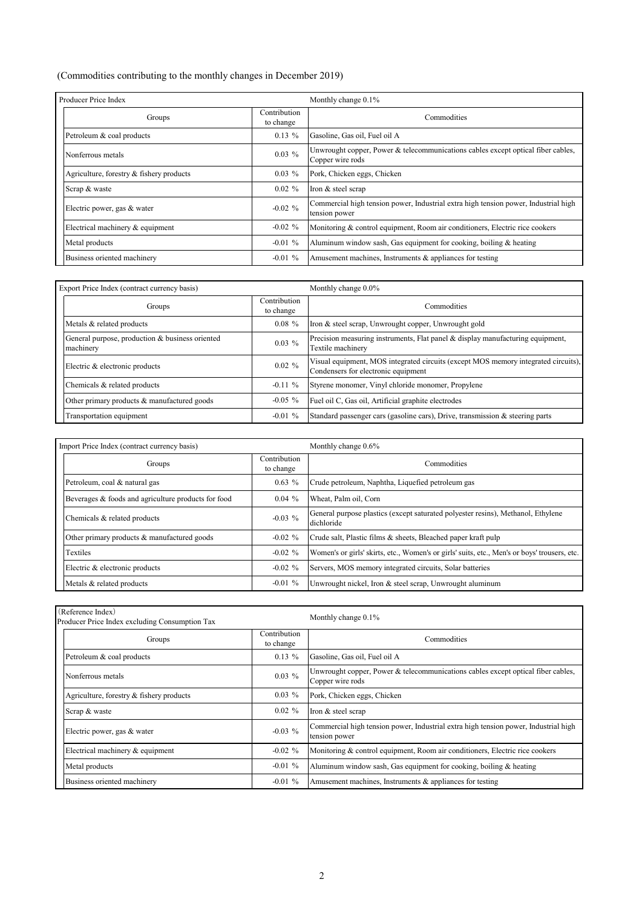#### (Commodities contributing to the monthly changes in December 2019)

| Producer Price Index                     |                           | Monthly change 0.1%                                                                                  |  |  |  |  |
|------------------------------------------|---------------------------|------------------------------------------------------------------------------------------------------|--|--|--|--|
| Groups                                   | Contribution<br>to change | Commodities                                                                                          |  |  |  |  |
| Petroleum & coal products                | $0.13\%$                  | Gasoline, Gas oil, Fuel oil A                                                                        |  |  |  |  |
| Nonferrous metals                        | $0.03\%$                  | Unwrought copper, Power & telecommunications cables except optical fiber cables,<br>Copper wire rods |  |  |  |  |
| Agriculture, forestry & fishery products | $0.03\%$                  | Pork, Chicken eggs, Chicken                                                                          |  |  |  |  |
| Scrap & waste                            | $0.02 \%$                 | Iron & steel scrap                                                                                   |  |  |  |  |
| Electric power, gas & water              | $-0.02 \%$                | Commercial high tension power, Industrial extra high tension power, Industrial high<br>tension power |  |  |  |  |
| Electrical machinery & equipment         | $-0.02 \%$                | Monitoring & control equipment, Room air conditioners, Electric rice cookers                         |  |  |  |  |
| Metal products                           | $-0.01\%$                 | Aluminum window sash, Gas equipment for cooking, boiling & heating                                   |  |  |  |  |
| Business oriented machinery              | $-0.01\%$                 | Amusement machines, Instruments $&$ appliances for testing                                           |  |  |  |  |

| Export Price Index (contract currency basis)                 |                           | Monthly change 0.0%                                                                                                       |  |  |  |  |  |
|--------------------------------------------------------------|---------------------------|---------------------------------------------------------------------------------------------------------------------------|--|--|--|--|--|
| Groups                                                       | Contribution<br>to change | Commodities                                                                                                               |  |  |  |  |  |
| Metals & related products                                    | $0.08 \%$                 | Iron & steel scrap, Unwrought copper, Unwrought gold                                                                      |  |  |  |  |  |
| General purpose, production & business oriented<br>machinery | $0.03\%$                  | Precision measuring instruments, Flat panel & display manufacturing equipment,<br>Textile machinery                       |  |  |  |  |  |
| Electric & electronic products                               | $0.02 \%$                 | Visual equipment, MOS integrated circuits (except MOS memory integrated circuits),<br>Condensers for electronic equipment |  |  |  |  |  |
| Chemicals & related products                                 | $-0.11\%$                 | Styrene monomer, Vinyl chloride monomer, Propylene                                                                        |  |  |  |  |  |
| Other primary products & manufactured goods                  | $-0.05\%$                 | Fuel oil C, Gas oil, Artificial graphite electrodes                                                                       |  |  |  |  |  |
| Transportation equipment                                     | $-0.01\%$                 | Standard passenger cars (gasoline cars), Drive, transmission & steering parts                                             |  |  |  |  |  |

| Import Price Index (contract currency basis)        |                           | Monthly change 0.6%                                                                            |  |  |  |  |  |
|-----------------------------------------------------|---------------------------|------------------------------------------------------------------------------------------------|--|--|--|--|--|
| Groups                                              | Contribution<br>to change | Commodities                                                                                    |  |  |  |  |  |
| Petroleum, coal & natural gas                       | $0.63\%$                  | Crude petroleum, Naphtha, Liquefied petroleum gas                                              |  |  |  |  |  |
| Beverages & foods and agriculture products for food | $0.04\%$                  | Wheat, Palm oil, Corn                                                                          |  |  |  |  |  |
| Chemicals & related products                        | $-0.03\%$                 | General purpose plastics (except saturated polyester resins), Methanol, Ethylene<br>dichloride |  |  |  |  |  |
| Other primary products & manufactured goods         | $-0.02 \%$                | Crude salt, Plastic films & sheets, Bleached paper kraft pulp                                  |  |  |  |  |  |
| Textiles                                            | $-0.02 \%$                | Women's or girls' skirts, etc., Women's or girls' suits, etc., Men's or boys' trousers, etc.   |  |  |  |  |  |
| Electric & electronic products                      | $-0.02 \%$                | Servers, MOS memory integrated circuits, Solar batteries                                       |  |  |  |  |  |
| Metals & related products                           | $-0.01 \%$                | Unwrought nickel, Iron & steel scrap, Unwrought aluminum                                       |  |  |  |  |  |

| (Reference Index)<br>Producer Price Index excluding Consumption Tax |                           | Monthly change 0.1%                                                                                  |  |  |  |  |  |
|---------------------------------------------------------------------|---------------------------|------------------------------------------------------------------------------------------------------|--|--|--|--|--|
| Groups                                                              | Contribution<br>to change | Commodities                                                                                          |  |  |  |  |  |
| Petroleum & coal products                                           | $0.13\%$                  | Gasoline, Gas oil, Fuel oil A                                                                        |  |  |  |  |  |
| Nonferrous metals                                                   | $0.03\%$                  | Unwrought copper, Power & telecommunications cables except optical fiber cables,<br>Copper wire rods |  |  |  |  |  |
| Agriculture, forestry & fishery products                            | $0.03\%$                  | Pork, Chicken eggs, Chicken                                                                          |  |  |  |  |  |
| Scrap & waste                                                       | $0.02 \%$                 | Iron & steel scrap                                                                                   |  |  |  |  |  |
| Electric power, gas & water                                         | $-0.03\%$                 | Commercial high tension power, Industrial extra high tension power, Industrial high<br>tension power |  |  |  |  |  |
| Electrical machinery & equipment                                    | $-0.02 \%$                | Monitoring & control equipment, Room air conditioners, Electric rice cookers                         |  |  |  |  |  |
| Metal products                                                      | $-0.01\%$                 | Aluminum window sash, Gas equipment for cooking, boiling & heating                                   |  |  |  |  |  |
| Business oriented machinery                                         | $-0.01\%$                 | Amusement machines, Instruments $&$ appliances for testing                                           |  |  |  |  |  |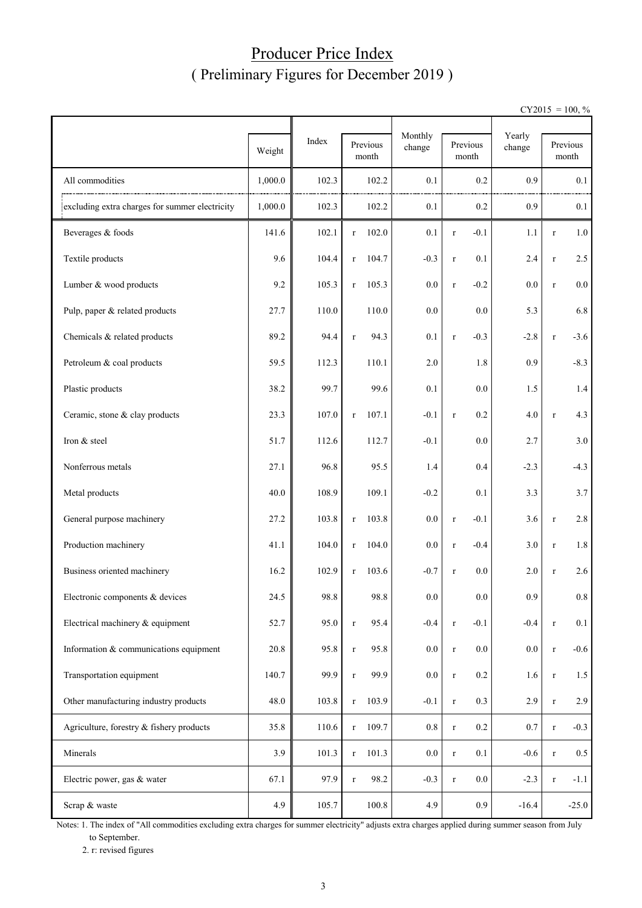#### Producer Price Index ( Preliminary Figures for December 2019 )

 $CY2015 = 100, \%$ 

|                                                | Weight  | Index | Previous<br>month     | Monthly<br>change | Previous<br>month  | Yearly<br>change |             | Previous<br>month |
|------------------------------------------------|---------|-------|-----------------------|-------------------|--------------------|------------------|-------------|-------------------|
| All commodities                                | 1,000.0 | 102.3 | 102.2                 | 0.1               | 0.2                | 0.9              |             | 0.1               |
| excluding extra charges for summer electricity | 1,000.0 | 102.3 | 102.2                 | 0.1               | 0.2                | 0.9              |             | 0.1               |
| Beverages & foods                              | 141.6   | 102.1 | 102.0<br>$\mathbf{r}$ | 0.1               | $-0.1$<br>$\bf r$  | 1.1              | $\mathbf r$ | 1.0               |
| Textile products                               | 9.6     | 104.4 | 104.7<br>r            | $-0.3$            | 0.1<br>$\bf r$     | 2.4              | $\bf r$     | 2.5               |
| Lumber & wood products                         | 9.2     | 105.3 | 105.3<br>$\mathbf r$  | 0.0               | $-0.2$<br>$\bf r$  | $0.0\,$          | $\bf r$     | $0.0\,$           |
| Pulp, paper & related products                 | 27.7    | 110.0 | 110.0                 | 0.0               | 0.0                | 5.3              |             | 6.8               |
| Chemicals & related products                   | 89.2    | 94.4  | 94.3<br>$\bf r$       | 0.1               | $-0.3$<br>$\bf r$  | $-2.8$           | $\bf r$     | $-3.6$            |
| Petroleum & coal products                      | 59.5    | 112.3 | 110.1                 | 2.0               | 1.8                | 0.9              |             | $-8.3$            |
| Plastic products                               | 38.2    | 99.7  | 99.6                  | 0.1               | 0.0                | 1.5              |             | 1.4               |
| Ceramic, stone & clay products                 | 23.3    | 107.0 | 107.1<br>$\bf r$      | $-0.1$            | 0.2<br>$\bf r$     | 4.0              | $\bf r$     | 4.3               |
| Iron & steel                                   | 51.7    | 112.6 | 112.7                 | $-0.1$            | 0.0                | 2.7              |             | 3.0               |
| Nonferrous metals                              | 27.1    | 96.8  | 95.5                  | 1.4               | 0.4                | $-2.3$           |             | $-4.3$            |
| Metal products                                 | 40.0    | 108.9 | 109.1                 | $-0.2$            | 0.1                | 3.3              |             | 3.7               |
| General purpose machinery                      | 27.2    | 103.8 | 103.8<br>$\bf r$      | 0.0               | $-0.1$<br>$\bf r$  | 3.6              | $\bf r$     | 2.8               |
| Production machinery                           | 41.1    | 104.0 | 104.0<br>$\mathbf{r}$ | 0.0               | $-0.4$<br>$\bf r$  | 3.0              | $\bf r$     | 1.8               |
| Business oriented machinery                    | 16.2    | 102.9 | 103.6<br>$\bf r$      | $-0.7$            | 0.0<br>$\bf r$     | 2.0              | $\bf r$     | 2.6               |
| Electronic components & devices                | 24.5    | 98.8  | 98.8                  | $0.0\,$           | 0.0                | 0.9              |             | 0.8               |
| Electrical machinery & equipment               | 52.7    | 95.0  | 95.4<br>$\bf r$       | $-0.4$            | $-0.1$<br>$\bf r$  | $-0.4$           | $\bf r$     | 0.1               |
| Information & communications equipment         | 20.8    | 95.8  | 95.8<br>$\bf r$       | 0.0               | $0.0\,$<br>$\bf r$ | 0.0              | $\bf r$     | $-0.6$            |
| Transportation equipment                       | 140.7   | 99.9  | 99.9<br>$\bf r$       | 0.0               | $0.2\,$<br>$\bf r$ | 1.6              | $\bf r$     | 1.5               |
| Other manufacturing industry products          | 48.0    | 103.8 | 103.9<br>$\mathbf r$  | $-0.1$            | 0.3<br>$\bf r$     | 2.9              | $\bf r$     | 2.9               |
| Agriculture, forestry & fishery products       | 35.8    | 110.6 | 109.7<br>$\bf r$      | $0.8\,$           | $0.2\,$<br>$\bf r$ | $0.7\,$          | $\bf r$     | $-0.3$            |
| Minerals                                       | 3.9     | 101.3 | 101.3<br>$\bf r$      | $0.0\,$           | 0.1<br>$\bf r$     | $-0.6$           | $\bf r$     | $0.5\,$           |
| Electric power, gas & water                    | 67.1    | 97.9  | 98.2<br>$\mathbf r$   | $-0.3$            | 0.0<br>$\bf r$     | $-2.3$           | $\bf r$     | $-1.1$            |
| Scrap & waste                                  | 4.9     | 105.7 | 100.8                 | 4.9               | 0.9                | $-16.4$          |             | $-25.0$           |

Notes: 1. The index of "All commodities excluding extra charges for summer electricity" adjusts extra charges applied during summer season from July to September.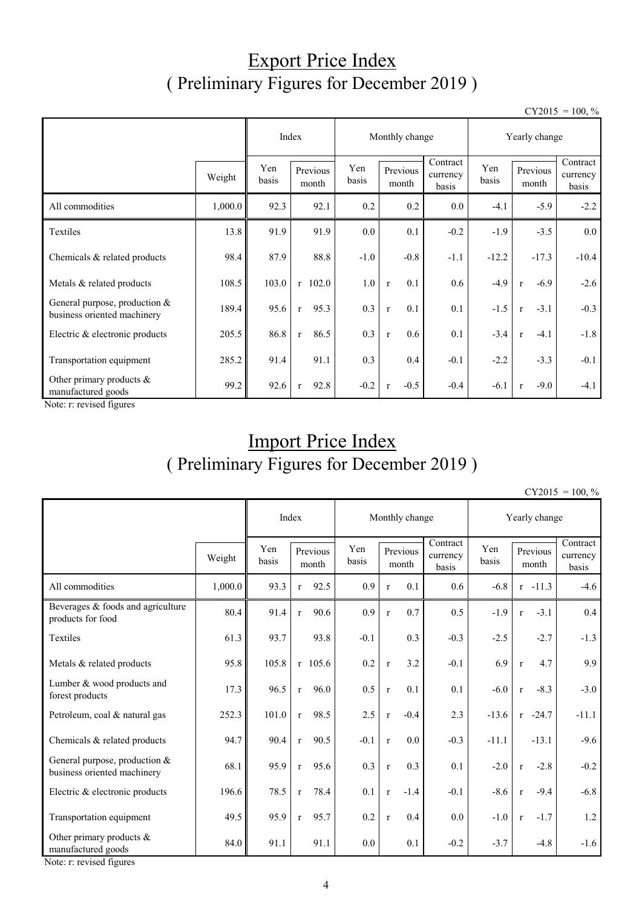## Export Price Index ( Preliminary Figures for December 2019 )

 $CY2015 = 100, \%$ 

|                                                                |         |              |                      |         | Monthly change         |                               | Yearly change |                        |                               |  |
|----------------------------------------------------------------|---------|--------------|----------------------|---------|------------------------|-------------------------------|---------------|------------------------|-------------------------------|--|
|                                                                | Weight  | Yen<br>basis | Previous<br>month    |         | Previous<br>month      | Contract<br>currency<br>basis | Yen<br>basis  | Previous<br>month      | Contract<br>currency<br>basis |  |
| All commodities                                                | 1,000.0 | 92.3         | 92.1                 | 0.2     | 0.2                    | 0.0                           | $-4.1$        | $-5.9$                 | $-2.2$                        |  |
| Textiles                                                       | 13.8    | 91.9         | 91.9                 | $0.0\,$ | 0.1                    | $-0.2$                        | $-1.9$        | $-3.5$                 | 0.0                           |  |
| Chemicals & related products                                   | 98.4    | 87.9         | 88.8                 | $-1.0$  | $-0.8$                 | $-1.1$                        | $-12.2$       | $-17.3$                | $-10.4$                       |  |
| Metals & related products                                      | 108.5   | 103.0        | $r$ 102.0            | 1.0     | 0.1<br>$\mathbf{r}$    | 0.6                           | $-4.9$        | $-6.9$<br>$\mathbf{r}$ | $-2.6$                        |  |
| General purpose, production $&$<br>business oriented machinery | 189.4   | 95.6         | 95.3<br>$\mathbf{r}$ | 0.3     | 0.1<br>$\mathbf{r}$    | 0.1                           | $-1.5$        | $-3.1$<br>$\mathbf{r}$ | $-0.3$                        |  |
| Electric & electronic products                                 | 205.5   | 86.8         | 86.5<br>$\mathbf{r}$ | 0.3     | 0.6<br>$\mathbf{r}$    | 0.1                           | $-3.4$        | $-4.1$<br>$\mathbf{r}$ | $-1.8$                        |  |
| Transportation equipment                                       | 285.2   | 91.4         | 91.1                 | 0.3     | 0.4                    | $-0.1$                        | $-2.2$        | $-3.3$                 | $-0.1$                        |  |
| Other primary products &<br>manufactured goods                 | 99.2    | 92.6         | 92.8<br>$\mathbf{r}$ | $-0.2$  | $-0.5$<br>$\mathbf{r}$ | $-0.4$                        | $-6.1$        | $-9.0$<br>$\mathbf{r}$ | $-4.1$                        |  |

Note: r: revised figures

## Import Price Index ( Preliminary Figures for December 2019 )

 $CY2015 = 100, \%$ 

|                                                              | Index   |                                   |              | Monthly change |                   |              |                               | Yearly change |         |                   |                               |         |
|--------------------------------------------------------------|---------|-----------------------------------|--------------|----------------|-------------------|--------------|-------------------------------|---------------|---------|-------------------|-------------------------------|---------|
|                                                              | Weight  | Yen<br>Previous<br>basis<br>month |              | Yen<br>basis   | Previous<br>month |              | Contract<br>currency<br>basis | Yen<br>basis  |         | Previous<br>month | Contract<br>currency<br>basis |         |
| All commodities                                              | 1,000.0 | 93.3                              | $\mathbf{r}$ | 92.5           | 0.9               | $\mathbf r$  | 0.1                           | 0.6           | $-6.8$  |                   | $r - 11.3$                    | $-4.6$  |
| Beverages & foods and agriculture<br>products for food       | 80.4    | 91.4                              | $\mathbf{r}$ | 90.6           | 0.9               | $\mathbf{r}$ | 0.7                           | 0.5           | $-1.9$  | $\mathbf{r}$      | $-3.1$                        | 0.4     |
| Textiles                                                     | 61.3    | 93.7                              |              | 93.8           | $-0.1$            |              | 0.3                           | $-0.3$        | $-2.5$  |                   | $-2.7$                        | $-1.3$  |
| Metals & related products                                    | 95.8    | 105.8                             |              | $r$ 105.6      | 0.2               | $\mathbf{r}$ | 3.2                           | $-0.1$        | 6.9     | $\mathbf{r}$      | 4.7                           | 9.9     |
| Lumber & wood products and<br>forest products                | 17.3    | 96.5                              | $\mathbf{r}$ | 96.0           | 0.5               | $\mathbf{r}$ | 0.1                           | 0.1           | $-6.0$  | $\mathbf{r}$      | $-8.3$                        | $-3.0$  |
| Petroleum, coal & natural gas                                | 252.3   | 101.0                             | $\mathbf{r}$ | 98.5           | 2.5               | $\mathbf r$  | $-0.4$                        | 2.3           | $-13.6$ |                   | $r -24.7$                     | $-11.1$ |
| Chemicals & related products                                 | 94.7    | 90.4                              | $\mathbf{r}$ | 90.5           | $-0.1$            | $\mathbf{r}$ | 0.0                           | $-0.3$        | $-11.1$ |                   | $-13.1$                       | $-9.6$  |
| General purpose, production &<br>business oriented machinery | 68.1    | 95.9                              | $\mathbf r$  | 95.6           | 0.3               | $\mathbf r$  | 0.3                           | 0.1           | $-2.0$  | $\mathbf{r}$      | $-2.8$                        | $-0.2$  |
| Electric & electronic products                               | 196.6   | 78.5                              | $\mathbf{r}$ | 78.4           | 0.1               | $\mathbf{r}$ | $-1.4$                        | $-0.1$        | $-8.6$  | $\mathbf{r}$      | $-9.4$                        | $-6.8$  |
| Transportation equipment                                     | 49.5    | 95.9                              | $\mathbf{r}$ | 95.7           | 0.2               | $\mathbf{r}$ | 0.4                           | 0.0           | $-1.0$  | $\mathbf{r}$      | $-1.7$                        | 1.2     |
| Other primary products $&$<br>manufactured goods             | 84.0    | 91.1                              |              | 91.1           | 0.0               |              | 0.1                           | $-0.2$        | $-3.7$  |                   | $-4.8$                        | $-1.6$  |

Note: r: revised figures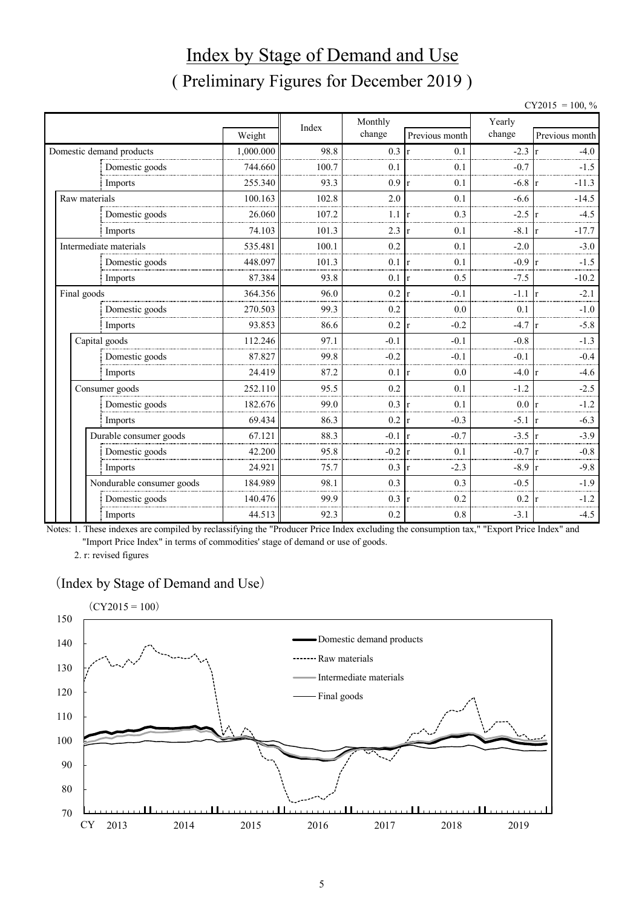# Index by Stage of Demand and Use ( Preliminary Figures for December 2019 )

| $CY2015 = 100, %$ |  |
|-------------------|--|
|                   |  |

|                           |           | Index | Monthly |                | Yearly           |                |  |  |
|---------------------------|-----------|-------|---------|----------------|------------------|----------------|--|--|
|                           | Weight    |       | change  | Previous month | change           | Previous month |  |  |
| Domestic demand products  | 1,000.000 | 98.8  | 0.3     | 0.1            | $-2.3$           | $-4.0$         |  |  |
| Domestic goods            | 744.660   | 100.7 | 0.1     | 0.1            | $-0.7$           | $-1.5$         |  |  |
| Imports                   | 255.340   | 93.3  | 0.9     | 0.1            | $-6.8$           | $-11.3$        |  |  |
| Raw materials             | 100.163   | 102.8 | 2.0     | 0.1            | $-6.6$           | $-14.5$        |  |  |
| Domestic goods            | 26.060    | 107.2 | 1.1     | 0.3            | $-2.5$           | $-4.5$         |  |  |
| Imports                   | 74.103    | 101.3 | 2.3     | 0.1            | $-8.1 \text{ r}$ | $-17.7$        |  |  |
| Intermediate materials    | 535.481   | 100.1 | 0.2     | 0.1            | $-2.0$           | $-3.0$         |  |  |
| Domestic goods            | 448.097   | 101.3 | 0.1     | 0.1            | $-0.9$           | $-1.5$         |  |  |
| Imports                   | 87.384    | 93.8  | 0.1     | 0.5<br>r       | $-7.5$           | $-10.2$        |  |  |
| Final goods               | 364.356   | 96.0  | 0.2     | $-0.1$         | $-1.1$           | $-2.1$         |  |  |
| Domestic goods            | 270.503   | 99.3  | 0.2     | 0.0            | 0.1              | $-1.0$         |  |  |
| Imports                   | 93.853    | 86.6  | 0.2     | $-0.2$<br>r    | $-4.7$           | $-5.8$         |  |  |
| Capital goods             | 112.246   | 97.1  | $-0.1$  | $-0.1$         | $-0.8$           | $-1.3$         |  |  |
| Domestic goods            | 87.827    | 99.8  | $-0.2$  | $-0.1$         | $-0.1$           | $-0.4$         |  |  |
| Imports                   | 24.419    | 87.2  | 0.1     | 0.0<br>Ir      | $-4.0 \text{ r}$ | $-4.6$         |  |  |
| Consumer goods            | 252.110   | 95.5  | 0.2     | 0.1            | $-1.2$           | $-2.5$         |  |  |
| Domestic goods            | 182.676   | 99.0  | 0.3     | 0.1            | $0.0\,$          | $-1.2$         |  |  |
| Imports                   | 69.434    | 86.3  | 0.2     | $-0.3$<br>r    | $-5.1$ r         | $-6.3$         |  |  |
| Durable consumer goods    | 67.121    | 88.3  | $-0.1$  | $-0.7$         | $-3.5$           | $-3.9$         |  |  |
| Domestic goods            | 42.200    | 95.8  | $-0.2$  | 0.1<br>I۳      | $-0.7 r$         | $-0.8$         |  |  |
| Imports                   | 24.921    | 75.7  | 0.3     | $-2.3$<br>l r  | $-8.9$           | $-9.8$         |  |  |
| Nondurable consumer goods | 184.989   | 98.1  | 0.3     | 0.3            | $-0.5$           | $-1.9$         |  |  |
| Domestic goods            | 140.476   | 99.9  | 0.3     | 0.2            | 0.2              | $-1.2$         |  |  |
| Imports                   | 44.513    | 92.3  | 0.2     | 0.8            | $-3.1$           | $-4.5$         |  |  |

Notes: 1. These indexes are compiled by reclassifying the "Producer Price Index excluding the consumption tax," "Export Price Index" and "Import Price Index" in terms of commodities' stage of demand or use of goods.

2. r: revised figures

#### (Index by Stage of Demand and Use)

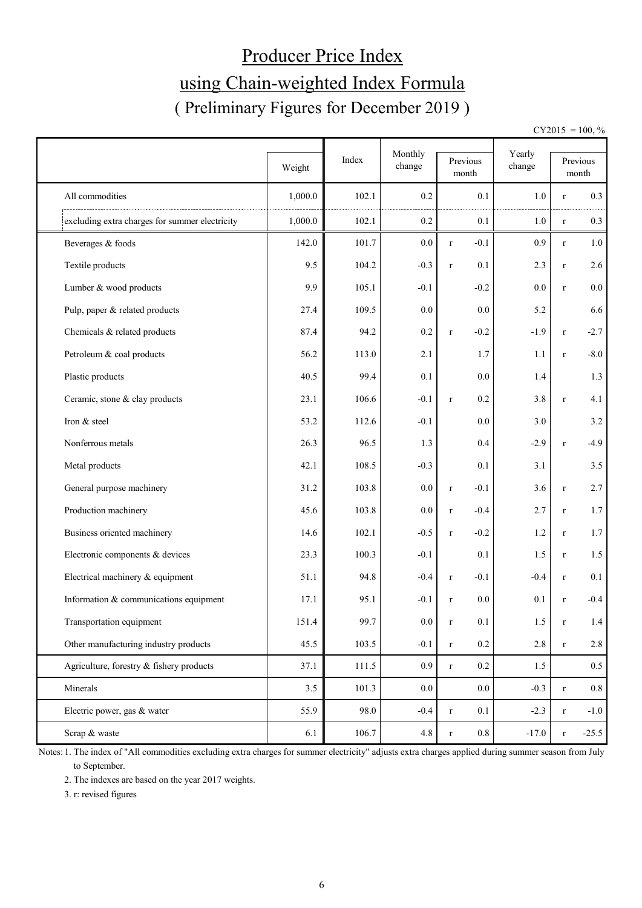# Producer Price Index using Chain-weighted Index Formula ( Preliminary Figures for December 2019 )

 $CY2015 = 100, \%$ 

|                                                | Weight  | Index | Monthly<br>change | Previous<br>month      | Yearly<br>change |              | Previous<br>month |
|------------------------------------------------|---------|-------|-------------------|------------------------|------------------|--------------|-------------------|
| All commodities                                | 1,000.0 | 102.1 | 0.2               | 0.1                    | 1.0              | r            | 0.3               |
| excluding extra charges for summer electricity | 1,000.0 | 102.1 | 0.2               | 0.1                    | 1.0              | $\bf r$      | 0.3               |
| Beverages & foods                              | 142.0   | 101.7 | 0.0               | $-0.1$<br>$\mathbf r$  | 0.9              | $\bf r$      | $1.0\,$           |
| Textile products                               | 9.5     | 104.2 | $-0.3$            | 0.1<br>$\bf r$         | 2.3              | $\bf r$      | 2.6               |
| Lumber & wood products                         | 9.9     | 105.1 | $-0.1$            | $-0.2$                 | 0.0              | $\mathbf r$  | $0.0\,$           |
| Pulp, paper & related products                 | 27.4    | 109.5 | 0.0               | 0.0                    | 5.2              |              | 6.6               |
| Chemicals & related products                   | 87.4    | 94.2  | 0.2               | $-0.2$<br>$\mathbf r$  | $-1.9$           | $\bf r$      | $-2.7$            |
| Petroleum & coal products                      | 56.2    | 113.0 | 2.1               | 1.7                    | 1.1              | $\bf r$      | $-8.0$            |
| Plastic products                               | 40.5    | 99.4  | 0.1               | 0.0                    | 1.4              |              | 1.3               |
| Ceramic, stone & clay products                 | 23.1    | 106.6 | $-0.1$            | 0.2<br>$\mathbf r$     | 3.8              | r            | 4.1               |
| Iron & steel                                   | 53.2    | 112.6 | $-0.1$            | 0.0                    | 3.0              |              | 3.2               |
| Nonferrous metals                              | 26.3    | 96.5  | 1.3               | 0.4                    | $-2.9$           | $\mathbf{r}$ | $-4.9$            |
| Metal products                                 | 42.1    | 108.5 | $-0.3$            | 0.1                    | 3.1              |              | 3.5               |
| General purpose machinery                      | 31.2    | 103.8 | 0.0               | $-0.1$<br>$\mathbf r$  | 3.6              | $\bf r$      | 2.7               |
| Production machinery                           | 45.6    | 103.8 | 0.0               | $-0.4$<br>$\mathbf r$  | 2.7              | $\bf r$      | 1.7               |
| Business oriented machinery                    | 14.6    | 102.1 | $-0.5$            | $-0.2$<br>$\bf r$      | 1.2              | $\bf r$      | 1.7               |
| Electronic components & devices                | 23.3    | 100.3 | $-0.1$            | 0.1                    | 1.5              | $\bf r$      | 1.5               |
| Electrical machinery & equipment               | 51.1    | 94.8  | $-0.4$            | $-0.1$<br>$\mathbf r$  | $-0.4$           | $\bf r$      | 0.1               |
| Information & communications equipment         | 17.1    | 95.1  | $-0.1$            | 0.0<br>$\bf r$         | 0.1              | $\mathbf{r}$ | $-0.4$            |
| Transportation equipment                       | 151.4   | 99.7  | $0.0\,$           | 0.1<br>$\mathbf r$     | 1.5              | $\bf r$      | 1.4               |
| Other manufacturing industry products          | 45.5    | 103.5 | $-0.1$            | $0.2\,$<br>$\mathbf r$ | $2.8\,$          | $\bf r$      | $2.8\,$           |
| Agriculture, forestry & fishery products       | 37.1    | 111.5 | 0.9 <sub>0</sub>  | $0.2\,$<br>$\mathbf r$ | 1.5              |              | $0.5\,$           |
| Minerals                                       | 3.5     | 101.3 | $0.0\,$           | $0.0\,$                | $-0.3$           | $\bf r$      | $0.8\,$           |
| Electric power, gas & water                    | 55.9    | 98.0  | $-0.4$            | 0.1<br>$\bf r$         | $-2.3$           | $\bf r$      | $-1.0$            |
| Scrap & waste                                  | 6.1     | 106.7 | 4.8               | $0.8\,$<br>$\mathbf r$ | $-17.0$          | $\bf r$      | $-25.5$           |

Notes: 1. The index of "All commodities excluding extra charges for summer electricity" adjusts extra charges applied during summer season from July to September.

2. The indexes are based on the year 2017 weights.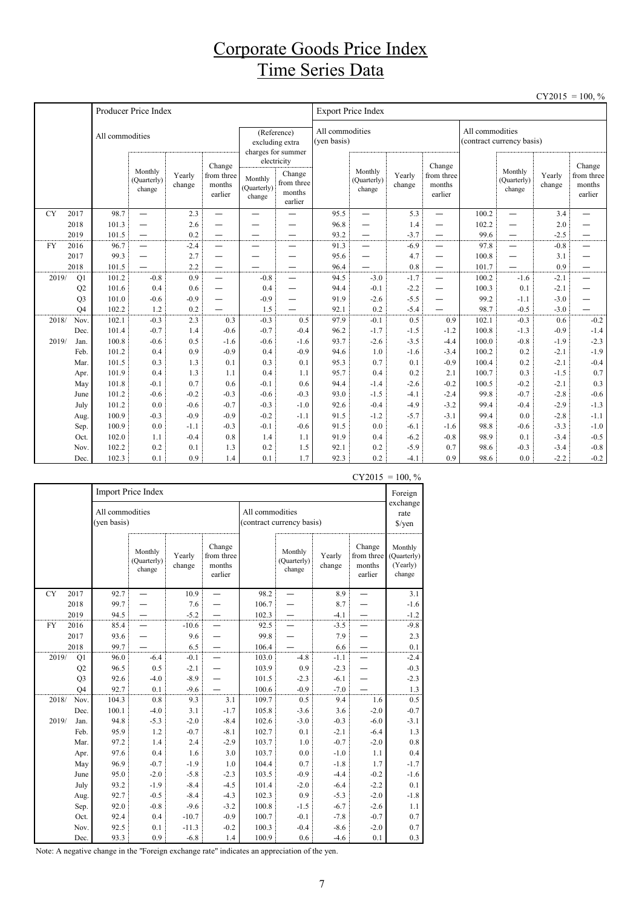### Corporate Goods Price Index Time Series Data

|           |                                  |                 |                                  |                  |                                           |                                                                     |                                           |                                |                                                      |                  |                                           |                                              |                                  |                  | $CY2015 = 100, \%$                        |
|-----------|----------------------------------|-----------------|----------------------------------|------------------|-------------------------------------------|---------------------------------------------------------------------|-------------------------------------------|--------------------------------|------------------------------------------------------|------------------|-------------------------------------------|----------------------------------------------|----------------------------------|------------------|-------------------------------------------|
|           |                                  |                 | Producer Price Index             |                  |                                           |                                                                     |                                           |                                | <b>Export Price Index</b>                            |                  |                                           |                                              |                                  |                  |                                           |
|           |                                  | All commodities |                                  |                  |                                           | (Reference)<br>excluding extra<br>charges for summer<br>electricity |                                           | All commodities<br>(yen basis) |                                                      |                  |                                           | All commodities<br>(contract currency basis) |                                  |                  |                                           |
|           |                                  |                 | Monthly<br>(Quarterly)<br>change | Yearly<br>change | Change<br>from three<br>months<br>earlier | Monthly<br>(Quarterly)<br>change                                    | Change<br>from three<br>months<br>earlier |                                | Monthly<br>Yearly<br>(Quarterly)<br>change<br>change |                  | Change<br>from three<br>months<br>earlier |                                              | Monthly<br>(Quarterly)<br>change | Yearly<br>change | Change<br>from three<br>months<br>earlier |
| <b>CY</b> | 2017                             | 98.7            | $\overline{\phantom{0}}$         | 2.3              | —                                         | $\overline{\phantom{0}}$                                            | —                                         | 95.5                           | $\equiv$                                             | 5.3              | —                                         | 100.2                                        | $\overline{\phantom{0}}$         | 3.4              | $\overline{\phantom{0}}$                  |
|           | 2018                             | 101.3           | $\overline{\phantom{0}}$         | 2.6              |                                           |                                                                     |                                           | 96.8                           | $\overline{\phantom{0}}$                             | 1.4              | -                                         | 102.2                                        | —                                | 2.0              |                                           |
|           | 2019                             | 101.5           | $\overline{\phantom{0}}$         | 0.2              | $\overline{\phantom{0}}$                  | -                                                                   | —                                         | 93.2                           | $\overline{\phantom{0}}$                             | $-3.7$           |                                           | 99.6                                         | —                                | $-2.5$           |                                           |
| <b>FY</b> | 2016                             | 96.7            | $\overbrace{\phantom{1232211}}$  | $-2.4$           | —                                         | —                                                                   | $\overline{\phantom{0}}$                  | 91.3                           | —                                                    | $-6.9$           |                                           | 97.8                                         | —                                | $-0.8$           | —                                         |
|           | 2017                             | 99.3            | —                                | 2.7              | —                                         | <u>.</u>                                                            | $\overline{\phantom{0}}$                  | 95.6                           |                                                      | 4.7              | $\overline{\phantom{0}}$                  | 100.8                                        | —                                | 3.1              | —                                         |
|           | 2018                             | 101.5           |                                  | 2.2              |                                           | $\overline{\phantom{0}}$                                            | $\overline{\phantom{0}}$                  | 96.4                           | $\overline{\phantom{0}}$                             | 0.8              | $\overline{\phantom{m}}$                  | 101.7                                        | $\overline{\phantom{0}}$         | 0.9              | —                                         |
| 2019/     | Q1                               | 101.2           | $-0.8$                           | 0.9              | $\overline{\phantom{0}}$                  | $-0.8$                                                              | $\equiv$                                  | 94.5<br>94.4                   | $-3.0$                                               | $-1.7$           |                                           | 100.2                                        | $-1.6$                           | $-2.1$           | $\overline{\phantom{0}}$                  |
|           | Q2                               | 101.6<br>101.0  | 0.4<br>$-0.6$                    | 0.6<br>$-0.9$    | $\overline{\phantom{0}}$                  | 0.4<br>$-0.9$                                                       | $\overline{\phantom{0}}$                  | 91.9                           | $-0.1$<br>$-2.6$                                     | $-2.2$<br>$-5.5$ | $\overline{\phantom{0}}$                  | 100.3<br>99.2                                | 0.1<br>$-1.1$                    | $-2.1$<br>$-3.0$ |                                           |
|           | Q <sub>3</sub><br>Q <sub>4</sub> | 102.2           | 1.2                              | 0.2              | —                                         | 1.5                                                                 | $\overline{\phantom{0}}$                  | 92.1                           | 0.2                                                  | $-5.4$           | -                                         | 98.7                                         | $-0.5$                           | $-3.0$           |                                           |
| 2018/     | Nov.                             | 102.1           | $-0.3$                           | 2.3              | 0.3                                       | $-0.3$                                                              | 0.5                                       | 97.9                           | $-0.1$                                               | 0.5              | 0.9                                       | 102.1                                        | $-0.3$                           | 0.6              | $-0.2$                                    |
|           | Dec.                             | 101.4           | $-0.7$                           | 1.4              | $-0.6$                                    | $-0.7$                                                              | $-0.4$                                    | 96.2                           | $-1.7$                                               | $-1.5$           | $-1.2$                                    | 100.8                                        | $-1.3$                           | $-0.9$           | $-1.4$                                    |
| 2019/     | Jan.                             | 100.8           | $-0.6$                           | 0.5              | $-1.6$                                    | $-0.6$                                                              | $-1.6$                                    | 93.7                           | $-2.6$                                               | $-3.5$           | $-4.4$                                    | 100.0                                        | $-0.8$                           | $-1.9$           | $-2.3$                                    |
|           | Feb.                             | 101.2           | 0.4                              | 0.9              | $-0.9$                                    | 0.4                                                                 | $-0.9$                                    | 94.6                           | 1.0                                                  | $-1.6$           | $-3.4$                                    | 100.2                                        | 0.2                              | $-2.1$           | $-1.9$                                    |
|           | Mar.                             | 101.5           | 0.3                              | 1.3              | 0.1                                       | 0.3                                                                 | 0.1                                       | 95.3                           | 0.7                                                  | 0.1              | $-0.9$                                    | 100.4                                        | 0.2                              | $-2.1$           | $-0.4$                                    |
|           | Apr.                             | 101.9           | 0.4                              | 1.3              | 1.1                                       | 0.4                                                                 | 1.1                                       | 95.7                           | 0.4                                                  | 0.2              | 2.1                                       | 100.7                                        | 0.3                              | $-1.5$           | 0.7                                       |
|           | May                              | 101.8           | $-0.1$                           | 0.7              | 0.6                                       | $-0.1$                                                              | 0.6                                       | 94.4                           | $-1.4$                                               | $-2.6$           | $-0.2$                                    | 100.5                                        | $-0.2$                           | $-2.1$           | 0.3                                       |
|           | June                             | 101.2           | $-0.6$                           | $-0.2$           | $-0.3$                                    | $-0.6$                                                              | $-0.3$                                    | 93.0                           | $-1.5$                                               | $-4.1$           | $-2.4$                                    | 99.8                                         | $-0.7$                           | $-2.8$           | $-0.6$                                    |
|           | July                             | 101.2           | 0.0                              | $-0.6$           | $-0.7$                                    | $-0.3$                                                              | $-1.0$                                    | 92.6                           | $-0.4$                                               | $-4.9$           | $-3.2$                                    | 99.4                                         | $-0.4$                           | $-2.9$           | $-1.3$                                    |
|           | Aug.                             | 100.9           | $-0.3$                           | $-0.9$           | $-0.9$                                    | $-0.2$                                                              | $-1.1$                                    | 91.5                           | $-1.2$                                               | $-5.7$           | $-3.1$                                    | 99.4                                         | 0.0                              | $-2.8$           | $-1.1$                                    |
|           | Sep.                             | 100.9           | 0.0                              | $-1.1$           | $-0.3$                                    | $-0.1$                                                              | $-0.6$                                    | 91.5                           | 0.0                                                  | $-6.1$           | $-1.6$                                    | 98.8                                         | $-0.6$                           | $-3.3$           | $-1.0$                                    |
|           | Oct.                             | 102.0           | 1.1                              | $-0.4$           | 0.8                                       | 1.4                                                                 | 1.1                                       | 91.9                           | 0.4                                                  | $-6.2$           | $-0.8$                                    | 98.9                                         | 0.1                              | $-3.4$           | $-0.5$                                    |
|           | Nov.                             | 102.2           | 0.2                              | 0.1              | 1.3                                       | 0.2                                                                 | 1.5                                       | 92.1                           | 0.2                                                  | $-5.9$           | 0.7                                       | 98.6                                         | $-0.3$                           | $-3.4$           | $-0.8$                                    |
|           | Dec.                             | 102.3           | 0.1                              | 0.9              | 1.4                                       | 0.1                                                                 | 1.7                                       | 92.3                           | 0.2                                                  | $-4.1$           | 0.9                                       | 98.6                                         | 0.0                              | $-2.2$           | $-0.2$                                    |

|           |                |                                | Import Price Index               |                  |                                           |                                              |                                  |                            |                                           | Foreign                                      |
|-----------|----------------|--------------------------------|----------------------------------|------------------|-------------------------------------------|----------------------------------------------|----------------------------------|----------------------------|-------------------------------------------|----------------------------------------------|
|           |                | All commodities<br>(yen basis) |                                  |                  |                                           | All commodities<br>(contract currency basis) |                                  | exchange<br>rate<br>\$/yen |                                           |                                              |
|           |                |                                | Monthly<br>(Quarterly)<br>change | Yearly<br>change | Change<br>from three<br>months<br>earlier |                                              | Monthly<br>(Quarterly)<br>change | Yearly<br>change           | Change<br>from three<br>months<br>earlier | Monthly<br>(Quarterly)<br>(Yearly)<br>change |
| <b>CY</b> | 2017           | 92.7                           |                                  | 10.9             |                                           | 98.2                                         |                                  | 8.9                        |                                           | 3.1                                          |
|           | 2018           | 99.7                           |                                  | 7.6              |                                           | 106.7                                        |                                  | 8.7                        |                                           | $-1.6$                                       |
|           | 2019           | 94.5                           |                                  | $-5.2$           |                                           | 102.3                                        |                                  | $-4.1$                     |                                           | $-1.2$                                       |
| FY        | 2016           | 85.4                           |                                  | $-10.6$          |                                           | 92.5                                         |                                  | $-3.5$                     |                                           | $-9.8$                                       |
|           | 2017           | 93.6                           |                                  | 9.6              |                                           | 99.8                                         |                                  | 7.9                        |                                           | 2.3                                          |
|           | 2018           | 99.7                           |                                  | 6.5              | —                                         | 106.4                                        |                                  | 6.6                        | $\overline{\phantom{0}}$                  | $0.1\,$                                      |
| 2019/     | Q1             | 96.0                           | $-6.4$                           | $-0.1$           |                                           | 103.0                                        | $-4.8$                           | $-1.1$                     |                                           | $-2.4$                                       |
|           | Q <sub>2</sub> | 96.5                           | 0.5                              | $-2.1$           |                                           | 103.9                                        | 0.9                              | $-2.3$                     |                                           | $-0.3$                                       |
|           | Q <sub>3</sub> | 92.6                           | $-4.0$                           | $-8.9$           |                                           | 101.5                                        | $-2.3$                           | $-6.1$                     |                                           | $-2.3$                                       |
|           | Q4             | 92.7                           | 0.1                              | $-9.6$           |                                           | 100.6                                        | $-0.9$                           | $-7.0$                     |                                           | 1.3                                          |
| 2018/     | Nov.           | 104.3                          | 0.8                              | 9.3              | 3.1                                       | 109.7                                        | $0.5^{\circ}$                    | 9.4                        | 1.6                                       | 0.5                                          |
|           | Dec.           | 100.1                          | $-4.0$                           | 3.1              | $-1.7$                                    | 105.8                                        | $-3.6$                           | 3.6                        | $-2.0$                                    | $-0.7$                                       |
| 2019/     | Jan.           | 94.8                           | $-5.3$                           | $-2.0$           | $-8.4$                                    | 102.6                                        | $-3.0$                           | $-0.3$                     | $-6.0$                                    | $-3.1$                                       |
|           | Feb.           | 95.9                           | 1.2                              | $-0.7$           | $-8.1$                                    | 102.7                                        | 0.1                              | $-2.1$                     | $-6.4$                                    | 1.3                                          |
|           | Mar.           | 97.2                           | 1.4                              | 2.4              | $-2.9$                                    | 103.7                                        | 1.0                              | $-0.7$                     | $-2.0$                                    | $0.8\,$                                      |
|           | Apr.           | 97.6                           | 0.4                              | 1.6              | 3.0                                       | 103.7                                        | 0.0                              | $-1.0$                     | 1.1                                       | 0.4                                          |
|           | May            | 96.9                           | $-0.7$                           | $-1.9$           | 1.0                                       | 104.4                                        | 0.7                              | $-1.8$                     | 1.7                                       | $-1.7$                                       |
|           | June           | 95.0                           | $-2.0$                           | $-5.8$           | $-2.3$                                    | 103.5                                        | $-0.9$                           | $-4.4$                     | $-0.2$                                    | $-1.6$                                       |
|           | July           | 93.2                           | $-1.9$                           | $-8.4$           | $-4.5$                                    | 101.4                                        | $-2.0$                           | $-6.4$                     | $-2.2$                                    | 0.1                                          |
|           | Aug.           | 92.7                           | $-0.5$                           | $-8.4$           | $-4.3$                                    | 102.3                                        | 0.9                              | $-5.3$                     | $-2.0$                                    | $-1.8$                                       |
|           | Sep.           | 92.0                           | $-0.8$                           | $-9.6$           | $-3.2$                                    | 100.8                                        | $-1.5$                           | $-6.7$                     | $-2.6$                                    | 1.1                                          |
|           | Oct.           | 92.4                           | 0.4                              | $-10.7$          | $-0.9$                                    | 100.7                                        | $-0.1$                           | $-7.8$                     | $-0.7$                                    | 0.7                                          |
|           | Nov.           | 92.5                           | 0.1                              | $-11.3$          | $-0.2$                                    | 100.3                                        | $-0.4$                           | $-8.6$                     | $-2.0$                                    | 0.7                                          |
|           | Dec.           | 93.3                           | 0.9                              | $-6.8$           | 1.4                                       | 100.9                                        | 0.6                              | $-4.6$                     | 0.1                                       | 0.3                                          |

 $CY2015 = 100, \%$ 

Note: A negative change in the "Foreign exchange rate" indicates an appreciation of the yen.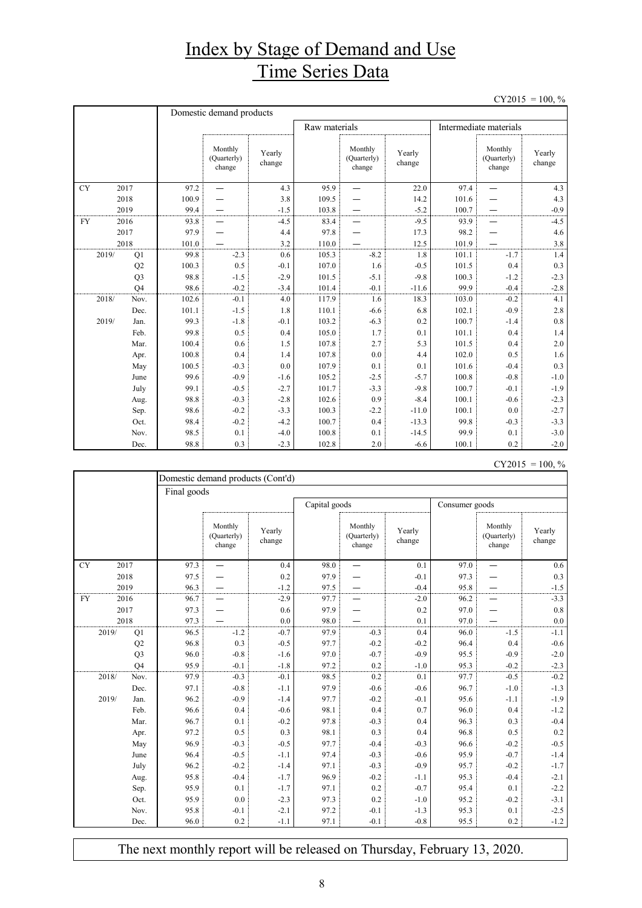## Index by Stage of Demand and Use Time Series Data

 $CY2015 = 100, \%$ 

|           |                | Domestic demand products |                                  |                  |               |                                  |                  |       |                                  |                  |  |  |
|-----------|----------------|--------------------------|----------------------------------|------------------|---------------|----------------------------------|------------------|-------|----------------------------------|------------------|--|--|
|           |                |                          |                                  |                  | Raw materials |                                  |                  |       | Intermediate materials           |                  |  |  |
|           |                |                          | Monthly<br>(Quarterly)<br>change | Yearly<br>change |               | Monthly<br>(Quarterly)<br>change | Yearly<br>change |       | Monthly<br>(Quarterly)<br>change | Yearly<br>change |  |  |
| <b>CY</b> | 2017           | 97.2                     | $\overline{\phantom{0}}$         | 4.3              | 95.9          |                                  | 22.0             | 97.4  | $\overline{\phantom{0}}$         | 4.3              |  |  |
|           | 2018           | 100.9                    |                                  | 3.8              | 109.5         |                                  | 14.2             | 101.6 |                                  | 4.3              |  |  |
|           | 2019           | 99.4                     |                                  | $-1.5$           | 103.8         |                                  | $-5.2$           | 100.7 |                                  | $-0.9$           |  |  |
| <b>FY</b> | 2016           | 93.8                     |                                  | $-4.5$           | 83.4          |                                  | $-9.5$           | 93.9  |                                  | $-4.5$           |  |  |
|           | 2017           | 97.9                     |                                  | 4.4              | 97.8          |                                  | 17.3             | 98.2  |                                  | 4.6              |  |  |
|           | 2018           | 101.0                    |                                  | 3.2              | 110.0         |                                  | 12.5             | 101.9 |                                  | 3.8              |  |  |
| 2019/     | Q1             | 99.8                     | $-2.3$                           | 0.6              | 105.3         | $-8.2$                           | 1.8              | 101.1 | $-1.7$                           | 1.4              |  |  |
|           | Q2             | 100.3                    | 0.5                              | $-0.1$           | 107.0         | 1.6                              | $-0.5$           | 101.5 | 0.4                              | 0.3              |  |  |
|           | Q <sub>3</sub> | 98.8                     | $-1.5$                           | $-2.9$           | 101.5         | $-5.1$                           | $-9.8$           | 100.3 | $-1.2$                           | $-2.3$           |  |  |
|           | O <sub>4</sub> | 98.6                     | $-0.2$                           | $-3.4$           | 101.4         | $-0.1$                           | $-11.6$          | 99.9  | $-0.4$                           | $-2.8$           |  |  |
| 2018/     | Nov.           | 102.6                    | $-0.1$                           | 4.0              | 117.9         | 1.6                              | 18.3             | 103.0 | $-0.2$                           | 4.1              |  |  |
|           | Dec.           | 101.1                    | $-1.5$                           | 1.8              | 110.1         | $-6.6$                           | 6.8              | 102.1 | $-0.9$                           | 2.8              |  |  |
| 2019/     | Jan.           | 99.3                     | $-1.8$                           | $-0.1$           | 103.2         | $-6.3$                           | 0.2              | 100.7 | $-1.4$                           | 0.8              |  |  |
|           | Feb.           | 99.8                     | 0.5                              | 0.4              | 105.0         | 1.7                              | 0.1              | 101.1 | 0.4                              | 1.4              |  |  |
|           | Mar.           | 100.4                    | 0.6                              | 1.5              | 107.8         | 2.7                              | 5.3              | 101.5 | 0.4                              | 2.0              |  |  |
|           | Apr.           | 100.8                    | 0.4                              | 1.4              | 107.8         | 0.0                              | 4.4              | 102.0 | 0.5                              | 1.6              |  |  |
|           | May            | 100.5                    | $-0.3$                           | 0.0              | 107.9         | 0.1                              | 0.1              | 101.6 | $-0.4$                           | 0.3              |  |  |
|           | June           | 99.6                     | $-0.9$                           | $-1.6$           | 105.2         | $-2.5$                           | $-5.7$           | 100.8 | $-0.8$                           | $-1.0$           |  |  |
|           | July           | 99.1                     | $-0.5$                           | $-2.7$           | 101.7         | $-3.3$                           | $-9.8$           | 100.7 | $-0.1$                           | $-1.9$           |  |  |
|           | Aug.           | 98.8                     | $-0.3$                           | $-2.8$           | 102.6         | 0.9                              | $-8.4$           | 100.1 | $-0.6$                           | $-2.3$           |  |  |
|           | Sep.           | 98.6                     | $-0.2$                           | $-3.3$           | 100.3         | $-2.2$                           | $-11.0$          | 100.1 | 0.0                              | $-2.7$           |  |  |
|           | Oct.           | 98.4                     | $-0.2$                           | $-4.2$           | 100.7         | 0.4                              | $-13.3$          | 99.8  | $-0.3$                           | $-3.3$           |  |  |
|           | Nov.           | 98.5                     | 0.1                              | $-4.0$           | 100.8         | 0.1                              | $-14.5$          | 99.9  | 0.1                              | $-3.0$           |  |  |
|           | Dec.           | 98.8                     | 0.3                              | $-2.3$           | 102.8         | 2.0                              | $-6.6$           | 100.1 | 0.2                              | $-2.0$           |  |  |

| CY2015 | $= 100, \%$ |  |
|--------|-------------|--|
|        |             |  |

|            |                |             | Domestic demand products (Cont'd) |                  |               |                                  |                  |                |                                  |                  |  |  |  |
|------------|----------------|-------------|-----------------------------------|------------------|---------------|----------------------------------|------------------|----------------|----------------------------------|------------------|--|--|--|
|            |                | Final goods |                                   |                  |               |                                  |                  |                |                                  |                  |  |  |  |
|            |                |             |                                   |                  | Capital goods |                                  |                  | Consumer goods |                                  |                  |  |  |  |
|            |                |             | Monthly<br>(Quarterly)<br>change  | Yearly<br>change |               | Monthly<br>(Quarterly)<br>change | Yearly<br>change |                | Monthly<br>(Quarterly)<br>change | Yearly<br>change |  |  |  |
| ${\rm CY}$ | 2017           | 97.3        |                                   | 0.4              | 98.0          |                                  | 0.1              | 97.0           |                                  | 0.6              |  |  |  |
|            | 2018           | 97.5        |                                   | 0.2              | 97.9          |                                  | $-0.1$           | 97.3           |                                  | 0.3              |  |  |  |
|            | 2019           | 96.3        |                                   | $-1.2$           | 97.5          |                                  | $-0.4$           | 95.8           |                                  | $-1.5$           |  |  |  |
| <b>FY</b>  | 2016           | 96.7        |                                   | $-2.9$           | 97.7          |                                  | $-2.0$           | 96.2           |                                  | $-3.3$           |  |  |  |
|            | 2017           | 97.3        |                                   | 0.6              | 97.9          |                                  | 0.2              | 97.0           |                                  | 0.8              |  |  |  |
|            | 2018           | 97.3        |                                   | 0.0              | 98.0          |                                  | 0.1              | 97.0           |                                  | 0.0              |  |  |  |
| 2019/      | Q1             | 96.5        | $-1.2$                            | $-0.7$           | 97.9          | $-0.3$                           | 0.4              | 96.0           | $-1.5$                           | $-1.1$           |  |  |  |
|            | Q2             | 96.8        | 0.3                               | $-0.5$           | 97.7          | $-0.2$                           | $-0.2$           | 96.4           | 0.4                              | $-0.6$           |  |  |  |
|            | Q <sub>3</sub> | 96.0        | $-0.8$                            | $-1.6$           | 97.0          | $-0.7$                           | $-0.9$           | 95.5           | $-0.9$                           | $-2.0$           |  |  |  |
|            | Q <sub>4</sub> | 95.9        | $-0.1$                            | $-1.8$           | 97.2          | 0.2                              | $-1.0$           | 95.3           | $-0.2$                           | $-2.3$           |  |  |  |
| 2018/      | Nov.           | 97.9        | $-0.3$                            | $-0.1$           | 98.5          | 0.2                              | 0.1              | 97.7           | $-0.5$                           | $-0.2$           |  |  |  |
|            | Dec.           | 97.1        | $-0.8$                            | $-1.1$           | 97.9          | $-0.6$                           | $-0.6$           | 96.7           | $-1.0$                           | $-1.3$           |  |  |  |
| 2019/      | Jan.           | 96.2        | $-0.9$                            | $-1.4$           | 97.7          | $-0.2$                           | $-0.1$           | 95.6           | $-1.1$                           | $-1.9$           |  |  |  |
|            | Feb.           | 96.6        | 0.4                               | $-0.6$           | 98.1          | 0.4                              | 0.7              | 96.0           | 0.4                              | $-1.2$           |  |  |  |
|            | Mar.           | 96.7        | 0.1                               | $-0.2$           | 97.8          | $-0.3$                           | 0.4              | 96.3           | 0.3                              | $-0.4$           |  |  |  |
|            | Apr.           | 97.2        | 0.5                               | 0.3              | 98.1          | 0.3                              | 0.4              | 96.8           | 0.5                              | 0.2              |  |  |  |
|            | May            | 96.9        | $-0.3$                            | $-0.5$           | 97.7          | $-0.4$                           | $-0.3$           | 96.6           | $-0.2$                           | $-0.5$           |  |  |  |
|            | June           | 96.4        | $-0.5$                            | $-1.1$           | 97.4          | $-0.3$                           | $-0.6$           | 95.9           | $-0.7$                           | $-1.4$           |  |  |  |
|            | July           | 96.2        | $-0.2$                            | $-1.4$           | 97.1          | $-0.3$                           | $-0.9$           | 95.7           | $-0.2$                           | $-1.7$           |  |  |  |
|            | Aug.           | 95.8        | $-0.4$                            | $-1.7$           | 96.9          | $-0.2$                           | $-1.1$           | 95.3           | $-0.4$                           | $-2.1$           |  |  |  |
|            | Sep.           | 95.9        | 0.1                               | $-1.7$           | 97.1          | 0.2                              | $-0.7$           | 95.4           | 0.1                              | $-2.2$           |  |  |  |
|            | Oct.           | 95.9        | 0.0                               | $-2.3$           | 97.3          | 0.2                              | $-1.0$           | 95.2           | $-0.2$                           | $-3.1$           |  |  |  |
|            | Nov.           | 95.8        | $-0.1$                            | $-2.1$           | 97.2          | $-0.1$                           | $-1.3$           | 95.3           | 0.1                              | $-2.5$           |  |  |  |
|            | Dec.           | 96.0        | 0.2                               | $-1.1$           | 97.1          | $-0.1$                           | $-0.8$           | 95.5           | 0.2                              | $-1.2$           |  |  |  |

The next monthly report will be released on Thursday, February 13, 2020.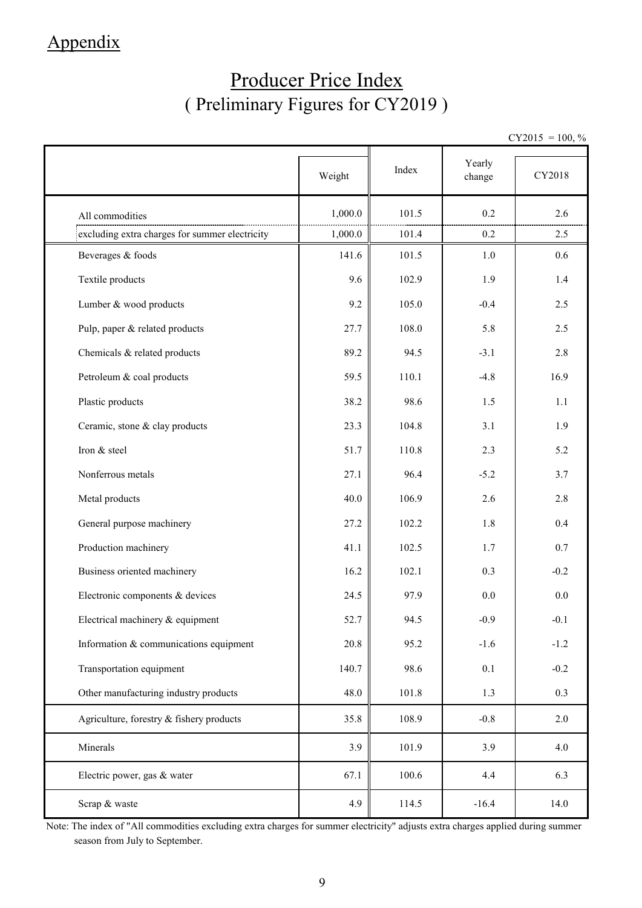## Appendix

## Producer Price Index ( Preliminary Figures for CY2019 )

 $CY2015 = 100, \%$ 

|                                                | Weight  | Index | Yearly<br>change | CY2018 |
|------------------------------------------------|---------|-------|------------------|--------|
| All commodities                                | 1,000.0 | 101.5 | 0.2              | 2.6    |
| excluding extra charges for summer electricity | 1,000.0 | 101.4 | 0.2              | 2.5    |
| Beverages & foods                              | 141.6   | 101.5 | 1.0              | 0.6    |
| Textile products                               | 9.6     | 102.9 | 1.9              | 1.4    |
| Lumber & wood products                         | 9.2     | 105.0 | $-0.4$           | 2.5    |
| Pulp, paper & related products                 | 27.7    | 108.0 | 5.8              | 2.5    |
| Chemicals & related products                   | 89.2    | 94.5  | $-3.1$           | 2.8    |
| Petroleum & coal products                      | 59.5    | 110.1 | $-4.8$           | 16.9   |
| Plastic products                               | 38.2    | 98.6  | 1.5              | 1.1    |
| Ceramic, stone & clay products                 | 23.3    | 104.8 | 3.1              | 1.9    |
| Iron & steel                                   | 51.7    | 110.8 | 2.3              | 5.2    |
| Nonferrous metals                              | 27.1    | 96.4  | $-5.2$           | 3.7    |
| Metal products                                 | 40.0    | 106.9 | 2.6              | 2.8    |
| General purpose machinery                      | 27.2    | 102.2 | 1.8              | 0.4    |
| Production machinery                           | 41.1    | 102.5 | 1.7              | 0.7    |
| Business oriented machinery                    | 16.2    | 102.1 | 0.3              | $-0.2$ |
| Electronic components & devices                | 24.5    | 97.9  | 0.0              | 0.0    |
| Electrical machinery & equipment               | 52.7    | 94.5  | $-0.9$           | $-0.1$ |
| Information & communications equipment         | 20.8    | 95.2  | $-1.6$           | $-1.2$ |
| Transportation equipment                       | 140.7   | 98.6  | $0.1\,$          | $-0.2$ |
| Other manufacturing industry products          | 48.0    | 101.8 | 1.3              | 0.3    |
| Agriculture, forestry & fishery products       | 35.8    | 108.9 | $-0.8$           | 2.0    |
| Minerals                                       | 3.9     | 101.9 | 3.9              | 4.0    |
| Electric power, gas & water                    | 67.1    | 100.6 | 4.4              | 6.3    |
| Scrap & waste                                  | 4.9     | 114.5 | $-16.4$          | 14.0   |

Note: The index of "All commodities excluding extra charges for summer electricity" adjusts extra charges applied during summer season from July to September.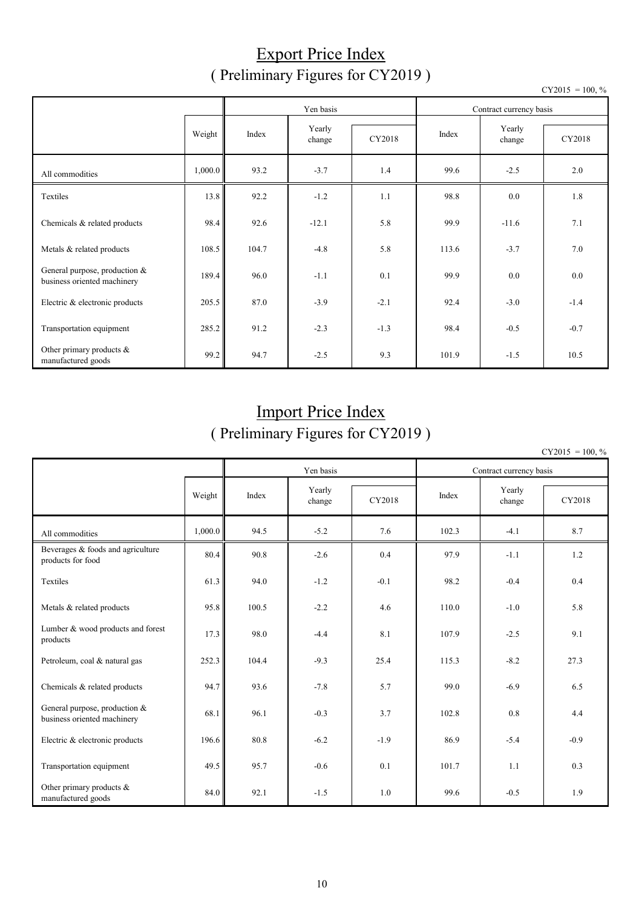### Export Price Index ( Preliminary Figures for CY2019 )

|                                                              |         |       | Yen basis        |        |       | Contract currency basis | 100, 70 |
|--------------------------------------------------------------|---------|-------|------------------|--------|-------|-------------------------|---------|
| Weight                                                       |         | Index | Yearly<br>change | CY2018 | Index | Yearly<br>change        | CY2018  |
| All commodities                                              | 1,000.0 | 93.2  | $-3.7$           | 1.4    | 99.6  | $-2.5$                  | 2.0     |
| Textiles                                                     | 13.8    | 92.2  | $-1.2$           | 1.1    | 98.8  | 0.0                     | 1.8     |
| Chemicals & related products                                 | 98.4    | 92.6  | $-12.1$          | 5.8    | 99.9  | $-11.6$                 | 7.1     |
| Metals & related products                                    | 108.5   | 104.7 | $-4.8$           | 5.8    | 113.6 | $-3.7$                  | 7.0     |
| General purpose, production &<br>business oriented machinery | 189.4   | 96.0  | $-1.1$           | 0.1    | 99.9  | 0.0                     | 0.0     |
| Electric & electronic products                               | 205.5   | 87.0  | $-3.9$           | $-2.1$ | 92.4  | $-3.0$                  | $-1.4$  |
| Transportation equipment                                     | 285.2   | 91.2  | $-2.3$           | $-1.3$ | 98.4  | $-0.5$                  | $-0.7$  |
| Other primary products &<br>manufactured goods               | 99.2    | 94.7  | $-2.5$           | 9.3    | 101.9 | $-1.5$                  | 10.5    |

## Import Price Index ( Preliminary Figures for CY2019 )

 $CY2015 = 100, \%$ 

|                                                              |         |       | Yen basis        |        |       | Contract currency basis |        |
|--------------------------------------------------------------|---------|-------|------------------|--------|-------|-------------------------|--------|
|                                                              | Weight  | Index | Yearly<br>change | CY2018 | Index | Yearly<br>change        | CY2018 |
| All commodities                                              | 1,000.0 | 94.5  | $-5.2$           | 7.6    | 102.3 | $-4.1$                  | 8.7    |
| Beverages & foods and agriculture<br>products for food       | 80.4    | 90.8  | $-2.6$           | 0.4    | 97.9  | $-1.1$                  | 1.2    |
| Textiles                                                     | 61.3    | 94.0  | $-1.2$           | $-0.1$ | 98.2  | $-0.4$                  | 0.4    |
| Metals & related products                                    | 95.8    | 100.5 | $-2.2$           | 4.6    | 110.0 | $-1.0$                  | 5.8    |
| Lumber & wood products and forest<br>products                | 17.3    | 98.0  | $-4.4$           | 8.1    | 107.9 | $-2.5$                  | 9.1    |
| Petroleum, coal & natural gas                                | 252.3   | 104.4 | $-9.3$           | 25.4   | 115.3 | $-8.2$                  | 27.3   |
| Chemicals & related products                                 | 94.7    | 93.6  | $-7.8$           | 5.7    | 99.0  | $-6.9$                  | 6.5    |
| General purpose, production &<br>business oriented machinery | 68.1    | 96.1  | $-0.3$           | 3.7    | 102.8 | 0.8                     | 4.4    |
| Electric & electronic products                               | 196.6   | 80.8  | $-6.2$           | $-1.9$ | 86.9  | $-5.4$                  | $-0.9$ |
| Transportation equipment                                     | 49.5    | 95.7  | $-0.6$           | 0.1    | 101.7 | 1.1                     | 0.3    |
| Other primary products &<br>manufactured goods               | 84.0    | 92.1  | $-1.5$           | 1.0    | 99.6  | $-0.5$                  | 1.9    |

 $CY2015 = 100, \%$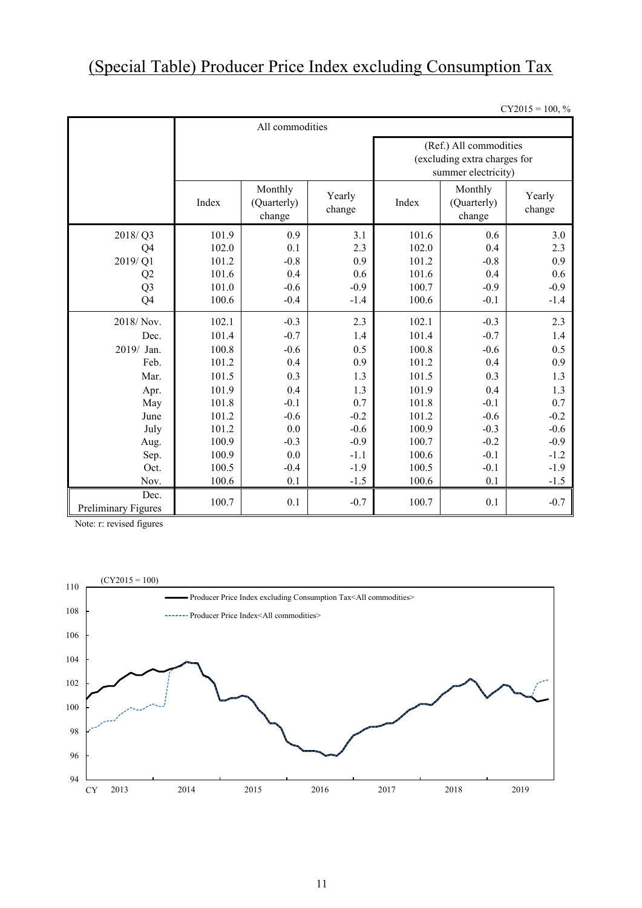# (Special Table) Producer Price Index excluding Consumption Tax

 $CY2015 = 100, %$ 

|                             |       | All commodities                                      |        |                                                                               |                                  |                  |  |  |  |  |
|-----------------------------|-------|------------------------------------------------------|--------|-------------------------------------------------------------------------------|----------------------------------|------------------|--|--|--|--|
|                             |       |                                                      |        | (Ref.) All commodities<br>(excluding extra charges for<br>summer electricity) |                                  |                  |  |  |  |  |
|                             | Index | Monthly<br>Yearly<br>(Quarterly)<br>change<br>change |        |                                                                               | Monthly<br>(Quarterly)<br>change | Yearly<br>change |  |  |  |  |
| 2018/Q3                     | 101.9 | 0.9                                                  | 3.1    | 101.6                                                                         | 0.6                              | 3.0              |  |  |  |  |
| Q <sub>4</sub>              | 102.0 | 0.1                                                  | 2.3    | 102.0                                                                         | 0.4                              | 2.3              |  |  |  |  |
| 2019/Q1                     | 101.2 | $-0.8$                                               | 0.9    | 101.2                                                                         | $-0.8$                           | 0.9              |  |  |  |  |
| Q <sub>2</sub>              | 101.6 | 0.4                                                  | 0.6    | 101.6                                                                         | 0.4                              | 0.6              |  |  |  |  |
| Q <sub>3</sub>              | 101.0 | $-0.6$                                               | $-0.9$ | 100.7                                                                         | $-0.9$                           | $-0.9$           |  |  |  |  |
| Q <sub>4</sub>              | 100.6 | $-0.4$                                               | $-1.4$ | 100.6                                                                         | $-0.1$                           | $-1.4$           |  |  |  |  |
| 2018/Nov.                   | 102.1 | $-0.3$                                               | 2.3    | 102.1                                                                         | $-0.3$                           | 2.3              |  |  |  |  |
| Dec.                        | 101.4 | $-0.7$                                               | 1.4    | 101.4                                                                         | $-0.7$                           | 1.4              |  |  |  |  |
| 2019/ Jan.                  | 100.8 | $-0.6$                                               | 0.5    | 100.8                                                                         | $-0.6$                           | 0.5              |  |  |  |  |
| Feb.                        | 101.2 | 0.4                                                  | 0.9    | 101.2                                                                         | 0.4                              | 0.9              |  |  |  |  |
| Mar.                        | 101.5 | 0.3                                                  | 1.3    | 101.5                                                                         | 0.3                              | 1.3              |  |  |  |  |
| Apr.                        | 101.9 | 0.4                                                  | 1.3    | 101.9                                                                         | 0.4                              | 1.3              |  |  |  |  |
| May                         | 101.8 | $-0.1$                                               | 0.7    | 101.8                                                                         | $-0.1$                           | 0.7              |  |  |  |  |
| June                        | 101.2 | $-0.6$                                               | $-0.2$ | 101.2                                                                         | $-0.6$                           | $-0.2$           |  |  |  |  |
| July                        | 101.2 | 0.0                                                  | $-0.6$ | 100.9                                                                         | $-0.3$                           | $-0.6$           |  |  |  |  |
| Aug.                        | 100.9 | $-0.3$                                               | $-0.9$ | 100.7                                                                         | $-0.2$                           | $-0.9$           |  |  |  |  |
| Sep.                        | 100.9 | 0.0                                                  | $-1.1$ | 100.6                                                                         | $-0.1$                           | $-1.2$           |  |  |  |  |
| Oct.                        | 100.5 | $-0.4$                                               | $-1.9$ | 100.5                                                                         | $-0.1$                           | $-1.9$           |  |  |  |  |
| Nov.                        | 100.6 | 0.1                                                  | $-1.5$ | 100.6                                                                         | 0.1                              | $-1.5$           |  |  |  |  |
| Dec.<br>Preliminary Figures | 100.7 | 0.1                                                  | $-0.7$ | 100.7                                                                         | 0.1                              | $-0.7$           |  |  |  |  |

Note: r: revised figures

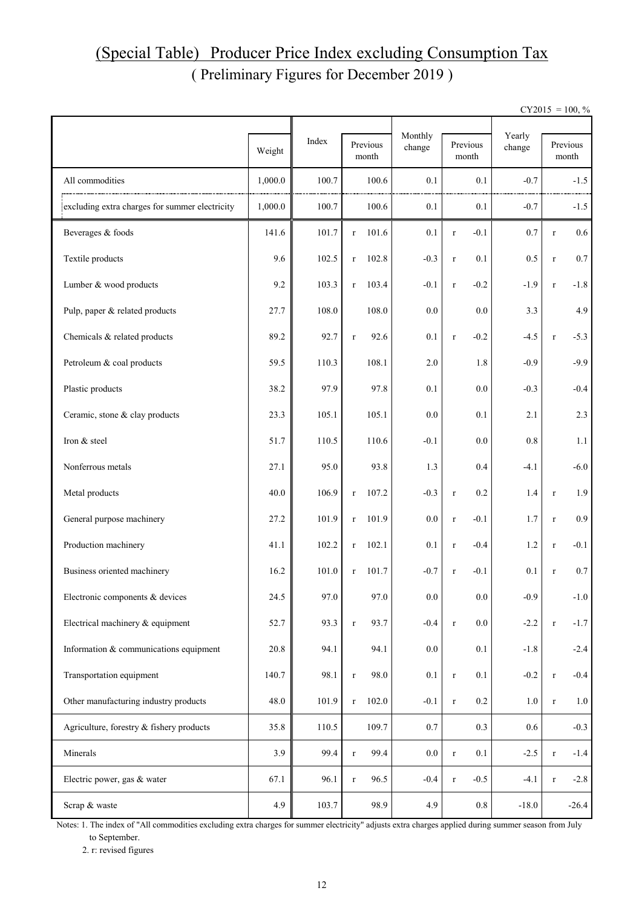## ( Preliminary Figures for December 2019 ) (Special Table) Producer Price Index excluding Consumption Tax

 $CY2015 = 100, \%$ 

|                                                |         |       |                      | Monthly |                    |                  |                   |         |
|------------------------------------------------|---------|-------|----------------------|---------|--------------------|------------------|-------------------|---------|
|                                                | Weight  | Index | Previous<br>month    | change  | Previous<br>month  | Yearly<br>change | Previous<br>month |         |
| All commodities                                | 1,000.0 | 100.7 | 100.6                | 0.1     | 0.1                | $-0.7$           |                   | $-1.5$  |
| excluding extra charges for summer electricity | 1,000.0 | 100.7 | 100.6                | 0.1     | 0.1                | $-0.7$           |                   | $-1.5$  |
| Beverages & foods                              | 141.6   | 101.7 | 101.6<br>$\bf r$     | 0.1     | $-0.1$<br>$\bf r$  | 0.7              | $\bf r$           | 0.6     |
| Textile products                               | 9.6     | 102.5 | 102.8<br>$\mathbf r$ | $-0.3$  | 0.1<br>$\bf r$     | 0.5              | $\bf r$           | $0.7\,$ |
| Lumber & wood products                         | 9.2     | 103.3 | 103.4<br>$\mathbf r$ | $-0.1$  | $-0.2$<br>$\bf r$  | $-1.9$           | $\bf r$           | $-1.8$  |
| Pulp, paper & related products                 | 27.7    | 108.0 | 108.0                | 0.0     | 0.0                | 3.3              |                   | 4.9     |
| Chemicals & related products                   | 89.2    | 92.7  | 92.6<br>$\bf r$      | 0.1     | $-0.2$<br>$\bf r$  | $-4.5$           | $\bf r$           | $-5.3$  |
| Petroleum & coal products                      | 59.5    | 110.3 | 108.1                | 2.0     | 1.8                | $-0.9$           |                   | $-9.9$  |
| Plastic products                               | 38.2    | 97.9  | 97.8                 | 0.1     | 0.0                | $-0.3$           |                   | $-0.4$  |
| Ceramic, stone & clay products                 | 23.3    | 105.1 | 105.1                | 0.0     | 0.1                | 2.1              |                   | 2.3     |
| Iron & steel                                   | 51.7    | 110.5 | 110.6                | $-0.1$  | 0.0                | $0.8\,$          |                   | 1.1     |
| Nonferrous metals                              | 27.1    | 95.0  | 93.8                 | 1.3     | 0.4                | $-4.1$           |                   | $-6.0$  |
| Metal products                                 | 40.0    | 106.9 | 107.2<br>$\bf r$     | $-0.3$  | 0.2<br>$\bf r$     | 1.4              | $\bf r$           | 1.9     |
| General purpose machinery                      | 27.2    | 101.9 | 101.9<br>$\bf r$     | 0.0     | $-0.1$<br>$\bf r$  | 1.7              | $\bf r$           | 0.9     |
| Production machinery                           | 41.1    | 102.2 | 102.1<br>$\bf r$     | 0.1     | $-0.4$<br>$\bf r$  | 1.2              | $\bf r$           | $-0.1$  |
| Business oriented machinery                    | 16.2    | 101.0 | 101.7<br>$\bf r$     | $-0.7$  | $-0.1$<br>$\bf r$  | 0.1              | $\bf r$           | 0.7     |
| Electronic components & devices                | 24.5    | 97.0  | 97.0                 | $0.0\,$ | $0.0\,$            | $-0.9$           |                   | $-1.0$  |
| Electrical machinery & equipment               | 52.7    | 93.3  | 93.7<br>$\bf r$      | $-0.4$  | $0.0\,$<br>$\bf r$ | $-2.2$           | $\bf r$           | $-1.7$  |
| Information & communications equipment         | 20.8    | 94.1  | 94.1                 | 0.0     | 0.1                | $-1.8$           |                   | $-2.4$  |
| Transportation equipment                       | 140.7   | 98.1  | 98.0<br>$\mathbf r$  | 0.1     | 0.1<br>$\bf r$     | $-0.2$           | $\bf r$           | $-0.4$  |
| Other manufacturing industry products          | 48.0    | 101.9 | 102.0<br>$\bf r$     | $-0.1$  | 0.2<br>$\bf r$     | $1.0\,$          | $\bf r$           | 1.0     |
| Agriculture, forestry & fishery products       | 35.8    | 110.5 | 109.7                | 0.7     | 0.3                | $0.6\,$          |                   | $-0.3$  |
| Minerals                                       | 3.9     | 99.4  | 99.4<br>$\bf r$      | $0.0\,$ | 0.1<br>$\bf r$     | $-2.5$           | $\bf r$           | $-1.4$  |
| Electric power, gas & water                    | 67.1    | 96.1  | 96.5<br>$\bf r$      | $-0.4$  | $-0.5$<br>$\bf r$  | $-4.1$           | $\bf r$           | $-2.8$  |
| Scrap & waste                                  | 4.9     | 103.7 | 98.9                 | 4.9     | $\rm 0.8$          | $-18.0$          |                   | $-26.4$ |

Notes: 1. The index of "All commodities excluding extra charges for summer electricity" adjusts extra charges applied during summer season from July to September.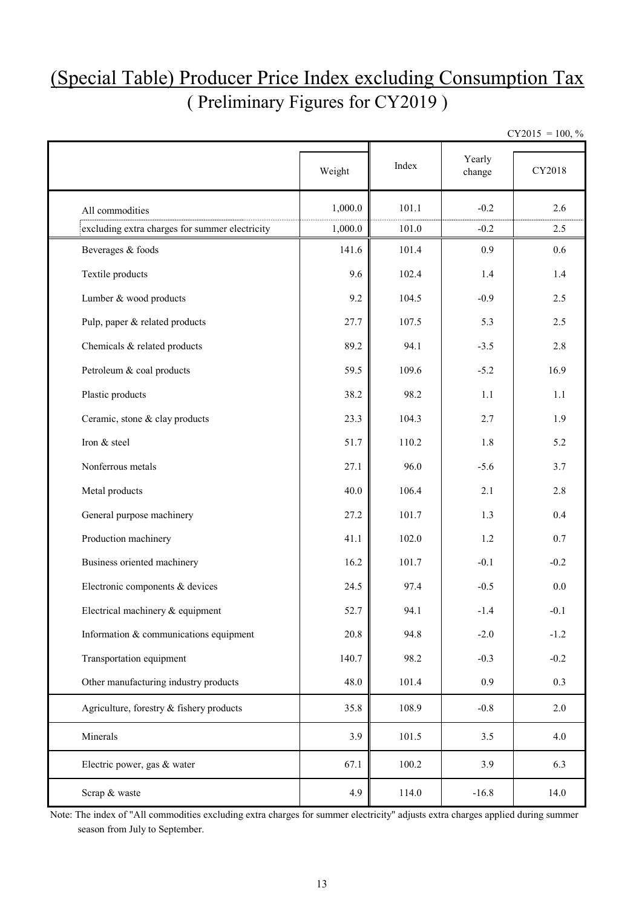## (Special Table) Producer Price Index excluding Consumption Tax ( Preliminary Figures for CY2019 )

|                                                | Weight  | Index | Yearly<br>change | CY2018 |
|------------------------------------------------|---------|-------|------------------|--------|
| All commodities                                | 1,000.0 | 101.1 | $-0.2$           | 2.6    |
| excluding extra charges for summer electricity | 1,000.0 | 101.0 | $-0.2$           | 2.5    |
| Beverages & foods                              | 141.6   | 101.4 | 0.9              | 0.6    |
| Textile products                               | 9.6     | 102.4 | 1.4              | 1.4    |
| Lumber & wood products                         | 9.2     | 104.5 | $-0.9$           | 2.5    |
| Pulp, paper & related products                 | 27.7    | 107.5 | 5.3              | 2.5    |
| Chemicals & related products                   | 89.2    | 94.1  | $-3.5$           | 2.8    |
| Petroleum & coal products                      | 59.5    | 109.6 | $-5.2$           | 16.9   |
| Plastic products                               | 38.2    | 98.2  | 1.1              | 1.1    |
| Ceramic, stone & clay products                 | 23.3    | 104.3 | 2.7              | 1.9    |
| Iron & steel                                   | 51.7    | 110.2 | 1.8              | 5.2    |
| Nonferrous metals                              | 27.1    | 96.0  | $-5.6$           | 3.7    |
| Metal products                                 | 40.0    | 106.4 | 2.1              | 2.8    |
| General purpose machinery                      | 27.2    | 101.7 | 1.3              | 0.4    |
| Production machinery                           | 41.1    | 102.0 | 1.2              | 0.7    |
| Business oriented machinery                    | 16.2    | 101.7 | $-0.1$           | $-0.2$ |
| Electronic components & devices                | 24.5    | 97.4  | $-0.5$           | 0.0    |
| Electrical machinery & equipment               | 52.7    | 94.1  | $-1.4$           | $-0.1$ |
| Information & communications equipment         | 20.8    | 94.8  | $-2.0$           | $-1.2$ |
| Transportation equipment                       | 140.7   | 98.2  | $-0.3$           | $-0.2$ |
| Other manufacturing industry products          | 48.0    | 101.4 | 0.9              | 0.3    |
| Agriculture, forestry & fishery products       | 35.8    | 108.9 | $-0.8$           | 2.0    |
| Minerals                                       | 3.9     | 101.5 | 3.5              | 4.0    |
| Electric power, gas & water                    | 67.1    | 100.2 | 3.9              | 6.3    |
| Scrap & waste                                  | 4.9     | 114.0 | $-16.8$          | 14.0   |

Note: The index of "All commodities excluding extra charges for summer electricity" adjusts extra charges applied during summer season from July to September.